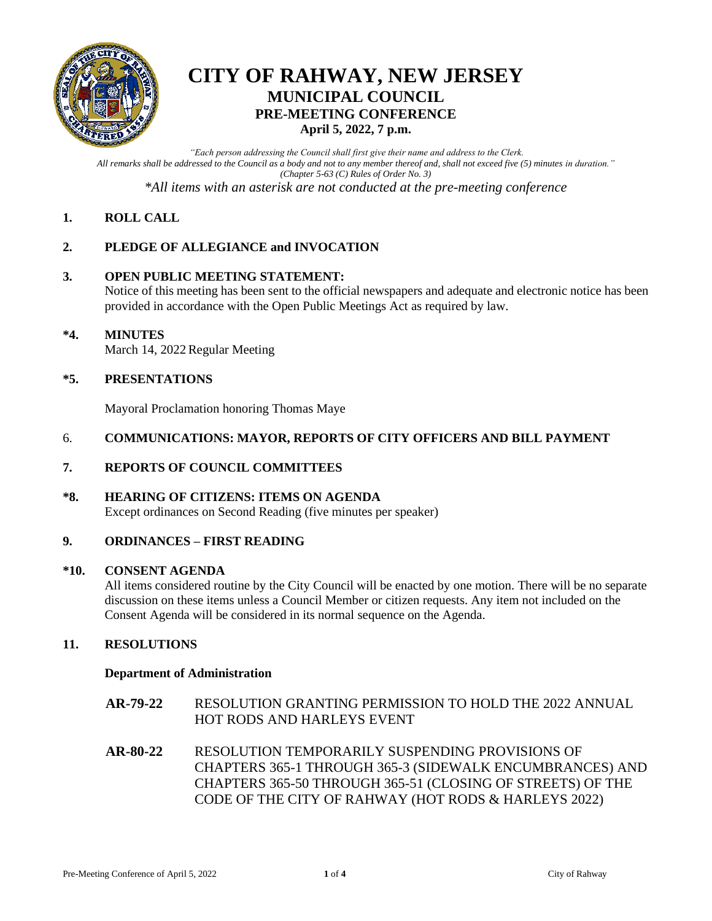

### **CITY OF RAHWAY, NEW JERSEY MUNICIPAL COUNCIL PRE-MEETING CONFERENCE April 5, 2022, 7 p.m.**

*"Each person addressing the Council shall first give their name and address to the Clerk. All remarks shall be addressed to the Council as a body and not to any member thereof and, shall not exceed five (5) minutes in duration." (Chapter 5-63 (C) Rules of Order No. 3)*

*\*All items with an asterisk are not conducted at the pre-meeting conference*

### **1. ROLL CALL**

### **2. PLEDGE OF ALLEGIANCE and INVOCATION**

### **3. OPEN PUBLIC MEETING STATEMENT:**

Notice of this meeting has been sent to the official newspapers and adequate and electronic notice has been provided in accordance with the Open Public Meetings Act as required by law.

### **\*4. MINUTES** March 14, 2022 Regular Meeting

### **\*5. PRESENTATIONS**

Mayoral Proclamation honoring Thomas Maye

### 6. **COMMUNICATIONS: MAYOR, REPORTS OF CITY OFFICERS AND BILL PAYMENT**

### **7. REPORTS OF COUNCIL COMMITTEES**

### **\*8. HEARING OF CITIZENS: ITEMS ON AGENDA**

Except ordinances on Second Reading (five minutes per speaker)

### **9. ORDINANCES – FIRST READING**

#### **\*10. CONSENT AGENDA**

All items considered routine by the City Council will be enacted by one motion. There will be no separate discussion on these items unless a Council Member or citizen requests. Any item not included on the Consent Agenda will be considered in its normal sequence on the Agenda.

### **11. RESOLUTIONS**

#### **Department of Administration**

- **AR-79-22** RESOLUTION GRANTING PERMISSION TO HOLD THE 2022 ANNUAL HOT RODS AND HARLEYS EVENT
- **AR-80-22** RESOLUTION TEMPORARILY SUSPENDING PROVISIONS OF CHAPTERS 365-1 THROUGH 365-3 (SIDEWALK ENCUMBRANCES) AND CHAPTERS 365-50 THROUGH 365-51 (CLOSING OF STREETS) OF THE CODE OF THE CITY OF RAHWAY (HOT RODS & HARLEYS 2022)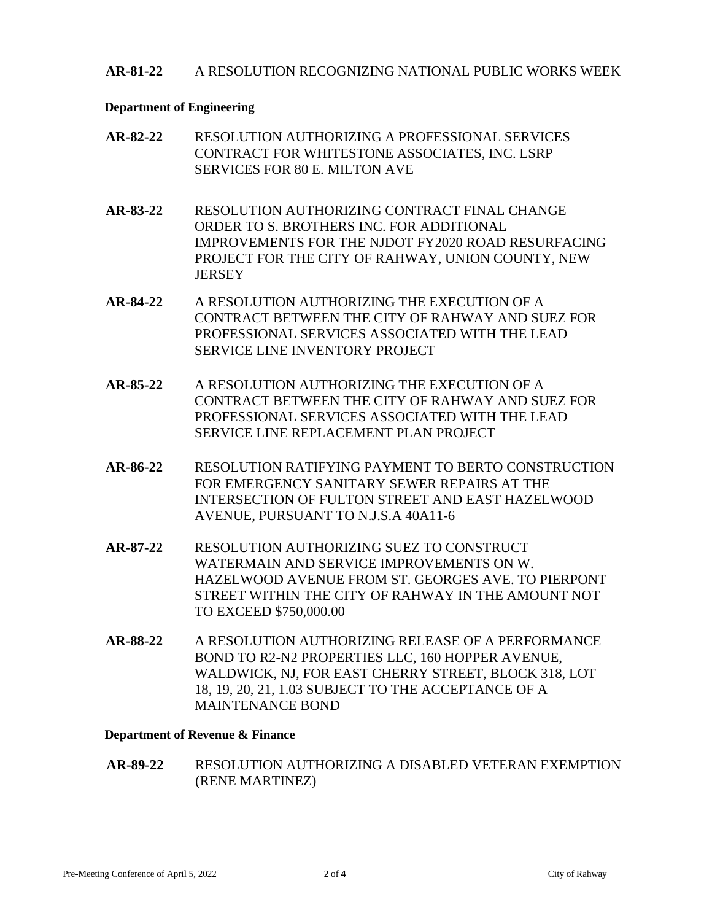### **AR-81-22** A RESOLUTION RECOGNIZING NATIONAL PUBLIC WORKS WEEK

#### **Department of Engineering**

| AR-82-22 | RESOLUTION AUTHORIZING A PROFESSIONAL SERVICES |
|----------|------------------------------------------------|
|          | CONTRACT FOR WHITESTONE ASSOCIATES, INC. LSRP  |
|          | SERVICES FOR 80 E. MILTON AVE                  |

- **AR-83-22** RESOLUTION AUTHORIZING CONTRACT FINAL CHANGE ORDER TO S. BROTHERS INC. FOR ADDITIONAL IMPROVEMENTS FOR THE NJDOT FY2020 ROAD RESURFACING PROJECT FOR THE CITY OF RAHWAY, UNION COUNTY, NEW **JERSEY**
- **AR-84-22** A RESOLUTION AUTHORIZING THE EXECUTION OF A CONTRACT BETWEEN THE CITY OF RAHWAY AND SUEZ FOR PROFESSIONAL SERVICES ASSOCIATED WITH THE LEAD SERVICE LINE INVENTORY PROJECT
- **AR-85-22** A RESOLUTION AUTHORIZING THE EXECUTION OF A CONTRACT BETWEEN THE CITY OF RAHWAY AND SUEZ FOR PROFESSIONAL SERVICES ASSOCIATED WITH THE LEAD SERVICE LINE REPLACEMENT PLAN PROJECT
- **AR-86-22** RESOLUTION RATIFYING PAYMENT TO BERTO CONSTRUCTION FOR EMERGENCY SANITARY SEWER REPAIRS AT THE INTERSECTION OF FULTON STREET AND EAST HAZELWOOD AVENUE, PURSUANT TO N.J.S.A 40A11-6
- **AR-87-22** RESOLUTION AUTHORIZING SUEZ TO CONSTRUCT WATERMAIN AND SERVICE IMPROVEMENTS ON W. HAZELWOOD AVENUE FROM ST. GEORGES AVE. TO PIERPONT STREET WITHIN THE CITY OF RAHWAY IN THE AMOUNT NOT TO EXCEED \$750,000.00
- **AR-88-22** A RESOLUTION AUTHORIZING RELEASE OF A PERFORMANCE BOND TO R2-N2 PROPERTIES LLC, 160 HOPPER AVENUE, WALDWICK, NJ, FOR EAST CHERRY STREET, BLOCK 318, LOT 18, 19, 20, 21, 1.03 SUBJECT TO THE ACCEPTANCE OF A MAINTENANCE BOND

#### **Department of Revenue & Finance**

**AR-89-22** RESOLUTION AUTHORIZING A DISABLED VETERAN EXEMPTION (RENE MARTINEZ)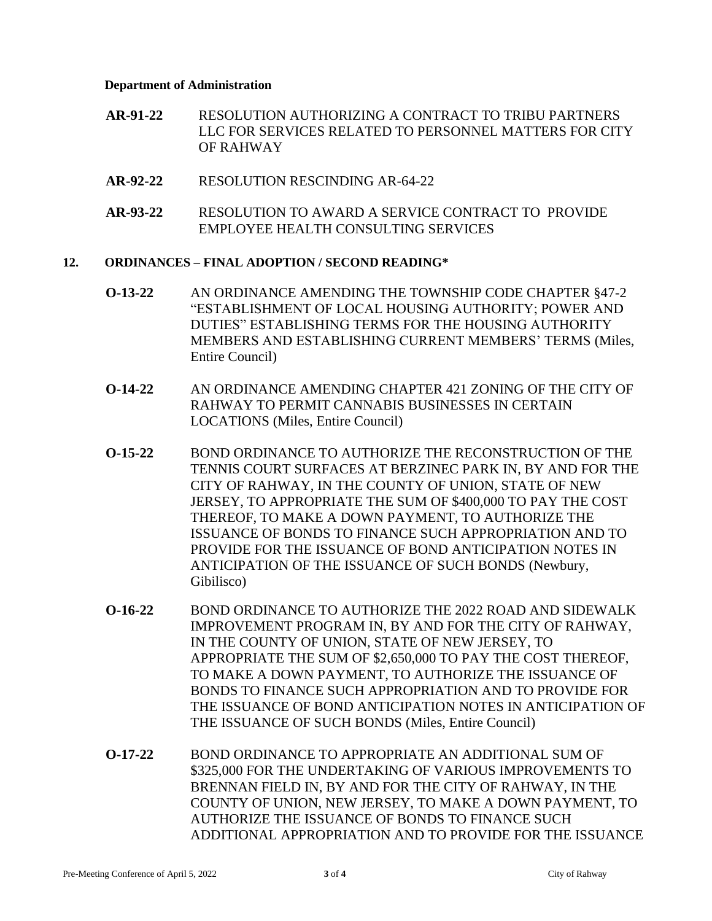#### **Department of Administration**

- **AR-91-22** RESOLUTION AUTHORIZING A CONTRACT TO TRIBU PARTNERS LLC FOR SERVICES RELATED TO PERSONNEL MATTERS FOR CITY OF RAHWAY
- **AR-92-22** RESOLUTION RESCINDING AR-64-22
- **AR-93-22** RESOLUTION TO AWARD A SERVICE CONTRACT TO PROVIDE EMPLOYEE HEALTH CONSULTING SERVICES

### **12. ORDINANCES – FINAL ADOPTION / SECOND READING\***

- **O-13-22** AN ORDINANCE AMENDING THE TOWNSHIP CODE CHAPTER §47-2 "ESTABLISHMENT OF LOCAL HOUSING AUTHORITY; POWER AND DUTIES" ESTABLISHING TERMS FOR THE HOUSING AUTHORITY MEMBERS AND ESTABLISHING CURRENT MEMBERS' TERMS (Miles, Entire Council)
- **O-14-22** AN ORDINANCE AMENDING CHAPTER 421 ZONING OF THE CITY OF RAHWAY TO PERMIT CANNABIS BUSINESSES IN CERTAIN LOCATIONS (Miles, Entire Council)
- **O-15-22** BOND ORDINANCE TO AUTHORIZE THE RECONSTRUCTION OF THE TENNIS COURT SURFACES AT BERZINEC PARK IN, BY AND FOR THE CITY OF RAHWAY, IN THE COUNTY OF UNION, STATE OF NEW JERSEY, TO APPROPRIATE THE SUM OF \$400,000 TO PAY THE COST THEREOF, TO MAKE A DOWN PAYMENT, TO AUTHORIZE THE ISSUANCE OF BONDS TO FINANCE SUCH APPROPRIATION AND TO PROVIDE FOR THE ISSUANCE OF BOND ANTICIPATION NOTES IN ANTICIPATION OF THE ISSUANCE OF SUCH BONDS (Newbury, Gibilisco)
- **O-16-22** BOND ORDINANCE TO AUTHORIZE THE 2022 ROAD AND SIDEWALK IMPROVEMENT PROGRAM IN, BY AND FOR THE CITY OF RAHWAY, IN THE COUNTY OF UNION, STATE OF NEW JERSEY, TO APPROPRIATE THE SUM OF \$2,650,000 TO PAY THE COST THEREOF, TO MAKE A DOWN PAYMENT, TO AUTHORIZE THE ISSUANCE OF BONDS TO FINANCE SUCH APPROPRIATION AND TO PROVIDE FOR THE ISSUANCE OF BOND ANTICIPATION NOTES IN ANTICIPATION OF THE ISSUANCE OF SUCH BONDS (Miles, Entire Council)
- **O-17-22** BOND ORDINANCE TO APPROPRIATE AN ADDITIONAL SUM OF \$325,000 FOR THE UNDERTAKING OF VARIOUS IMPROVEMENTS TO BRENNAN FIELD IN, BY AND FOR THE CITY OF RAHWAY, IN THE COUNTY OF UNION, NEW JERSEY, TO MAKE A DOWN PAYMENT, TO AUTHORIZE THE ISSUANCE OF BONDS TO FINANCE SUCH ADDITIONAL APPROPRIATION AND TO PROVIDE FOR THE ISSUANCE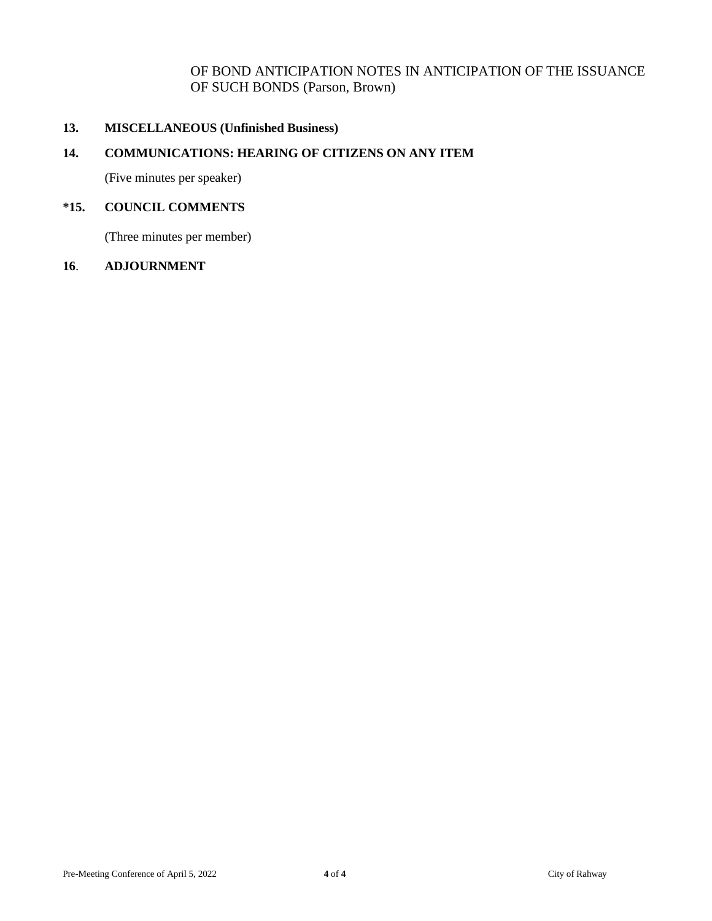### OF BOND ANTICIPATION NOTES IN ANTICIPATION OF THE ISSUANCE OF SUCH BONDS (Parson, Brown)

### **13. MISCELLANEOUS (Unfinished Business)**

### **14. COMMUNICATIONS: HEARING OF CITIZENS ON ANY ITEM**

(Five minutes per speaker)

### **\*15. COUNCIL COMMENTS**

(Three minutes per member)

#### **16**. **ADJOURNMENT**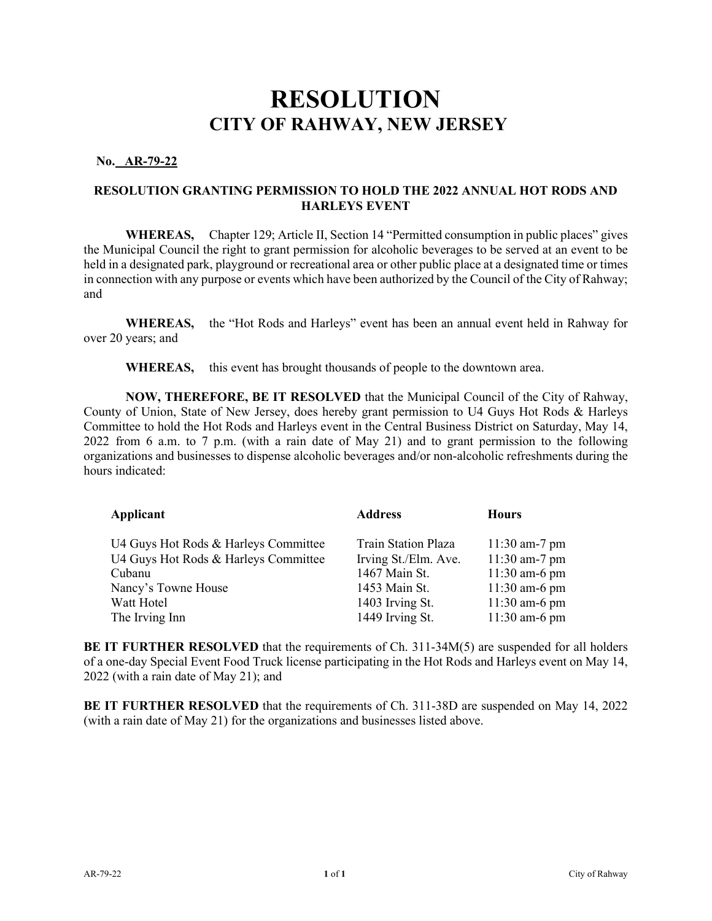**No. AR-79-22** 

### **RESOLUTION GRANTING PERMISSION TO HOLD THE 2022 ANNUAL HOT RODS AND HARLEYS EVENT**

**WHEREAS,** Chapter 129; Article II, Section 14 "Permitted consumption in public places" gives the Municipal Council the right to grant permission for alcoholic beverages to be served at an event to be held in a designated park, playground or recreational area or other public place at a designated time or times in connection with any purpose or events which have been authorized by the Council of the City of Rahway; and

**WHEREAS,** the "Hot Rods and Harleys" event has been an annual event held in Rahway for over 20 years; and

**WHEREAS,** this event has brought thousands of people to the downtown area.

**NOW, THEREFORE, BE IT RESOLVED** that the Municipal Council of the City of Rahway, County of Union, State of New Jersey, does hereby grant permission to U4 Guys Hot Rods & Harleys Committee to hold the Hot Rods and Harleys event in the Central Business District on Saturday, May 14, 2022 from 6 a.m. to 7 p.m. (with a rain date of May 21) and to grant permission to the following organizations and businesses to dispense alcoholic beverages and/or non-alcoholic refreshments during the hours indicated:

| Applicant                                                                                                                                     | <b>Address</b>                                                                                                      | <b>Hours</b>                                                                                                 |
|-----------------------------------------------------------------------------------------------------------------------------------------------|---------------------------------------------------------------------------------------------------------------------|--------------------------------------------------------------------------------------------------------------|
| U4 Guys Hot Rods & Harleys Committee<br>U4 Guys Hot Rods & Harleys Committee<br>Cubanu<br>Nancy's Towne House<br>Watt Hotel<br>The Irving Inn | Train Station Plaza<br>Irving St./Elm. Ave.<br>1467 Main St.<br>1453 Main St.<br>1403 Irving St.<br>1449 Irving St. | $11:30$ am-7 pm<br>11:30 am-7 pm<br>$11:30$ am-6 pm<br>$11:30$ am-6 pm<br>$11:30$ am-6 pm<br>$11:30$ am-6 pm |
|                                                                                                                                               |                                                                                                                     |                                                                                                              |

**BE IT FURTHER RESOLVED** that the requirements of Ch. 311-34M(5) are suspended for all holders of a one-day Special Event Food Truck license participating in the Hot Rods and Harleys event on May 14, 2022 (with a rain date of May 21); and

**BE IT FURTHER RESOLVED** that the requirements of Ch. 311-38D are suspended on May 14, 2022 (with a rain date of May 21) for the organizations and businesses listed above.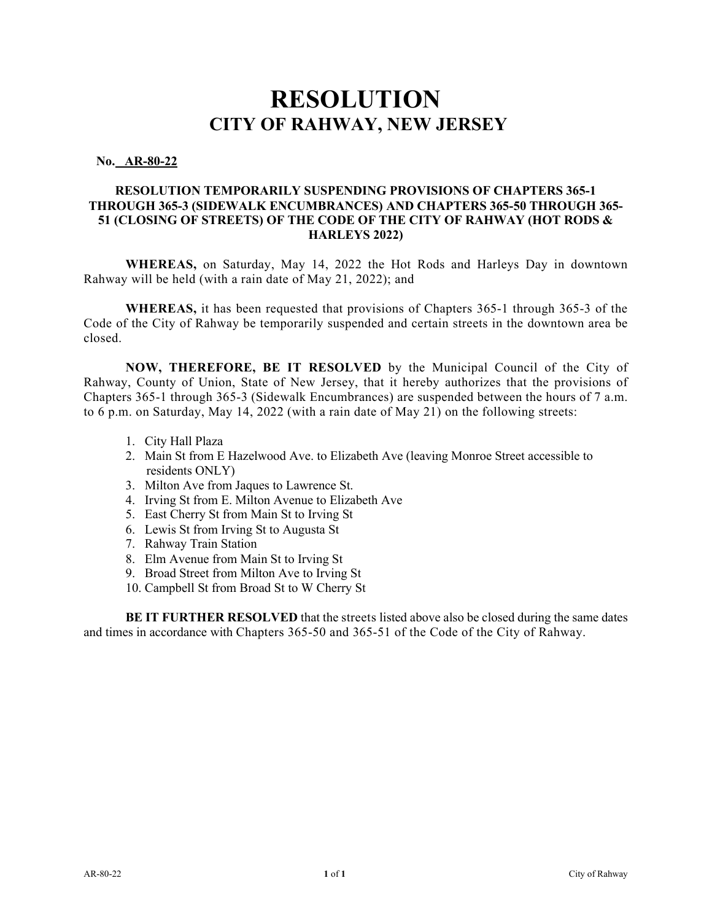#### **No. AR-80-22**

### **RESOLUTION TEMPORARILY SUSPENDING PROVISIONS OF CHAPTERS 365-1 THROUGH 365-3 (SIDEWALK ENCUMBRANCES) AND CHAPTERS 365-50 THROUGH 365- 51 (CLOSING OF STREETS) OF THE CODE OF THE CITY OF RAHWAY (HOT RODS & HARLEYS 2022)**

**WHEREAS,** on Saturday, May 14, 2022 the Hot Rods and Harleys Day in downtown Rahway will be held (with a rain date of May 21, 2022); and

**WHEREAS,** it has been requested that provisions of Chapters 365-1 through 365-3 of the Code of the City of Rahway be temporarily suspended and certain streets in the downtown area be closed.

**NOW, THEREFORE, BE IT RESOLVED** by the Municipal Council of the City of Rahway, County of Union, State of New Jersey, that it hereby authorizes that the provisions of Chapters 365-1 through 365-3 (Sidewalk Encumbrances) are suspended between the hours of 7 a.m. to 6 p.m. on Saturday, May 14, 2022 (with a rain date of May 21) on the following streets:

- 1. City Hall Plaza
- 2. Main St from E Hazelwood Ave. to Elizabeth Ave (leaving Monroe Street accessible to residents ONLY)
- 3. Milton Ave from Jaques to Lawrence St.
- 4. Irving St from E. Milton Avenue to Elizabeth Ave
- 5. East Cherry St from Main St to Irving St
- 6. Lewis St from Irving St to Augusta St
- 7. Rahway Train Station
- 8. Elm Avenue from Main St to Irving St
- 9. Broad Street from Milton Ave to Irving St
- 10. Campbell St from Broad St to W Cherry St

**BE IT FURTHER RESOLVED** that the streets listed above also be closed during the same dates and times in accordance with Chapters 365-50 and 365-51 of the Code of the City of Rahway.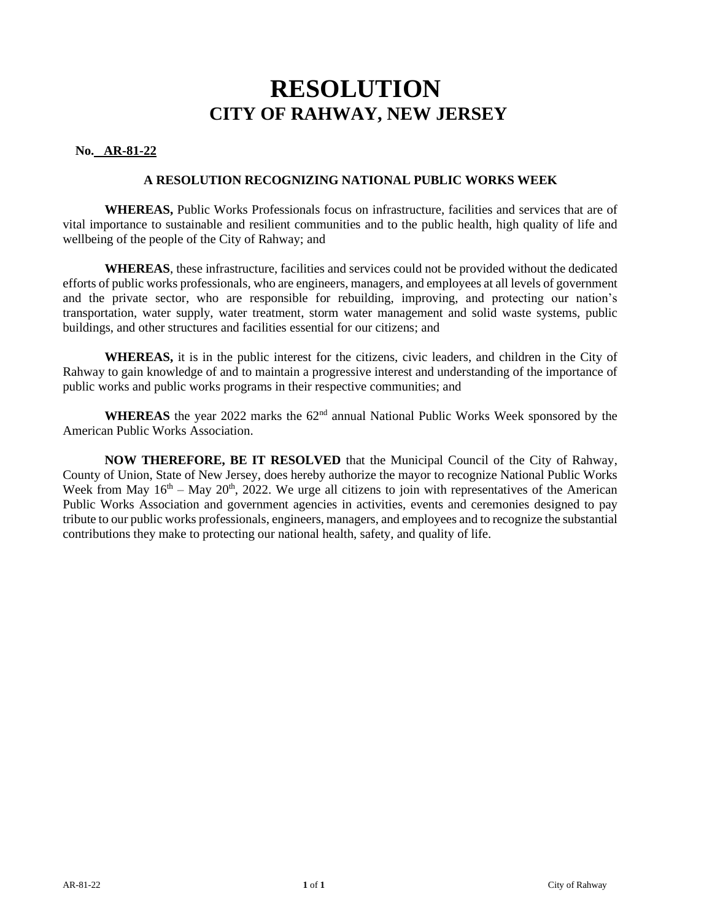### **No. AR-81-22**

#### **A RESOLUTION RECOGNIZING NATIONAL PUBLIC WORKS WEEK**

**WHEREAS,** Public Works Professionals focus on infrastructure, facilities and services that are of vital importance to sustainable and resilient communities and to the public health, high quality of life and wellbeing of the people of the City of Rahway; and

**WHEREAS**, these infrastructure, facilities and services could not be provided without the dedicated efforts of public works professionals, who are engineers, managers, and employees at all levels of government and the private sector, who are responsible for rebuilding, improving, and protecting our nation's transportation, water supply, water treatment, storm water management and solid waste systems, public buildings, and other structures and facilities essential for our citizens; and

**WHEREAS,** it is in the public interest for the citizens, civic leaders, and children in the City of Rahway to gain knowledge of and to maintain a progressive interest and understanding of the importance of public works and public works programs in their respective communities; and

WHEREAS the year 2022 marks the 62<sup>nd</sup> annual National Public Works Week sponsored by the American Public Works Association.

**NOW THEREFORE, BE IT RESOLVED** that the Municipal Council of the City of Rahway, County of Union, State of New Jersey, does hereby authorize the mayor to recognize National Public Works Week from May  $16<sup>th</sup> - May 20<sup>th</sup>$ , 2022. We urge all citizens to join with representatives of the American Public Works Association and government agencies in activities, events and ceremonies designed to pay tribute to our public works professionals, engineers, managers, and employees and to recognize the substantial contributions they make to protecting our national health, safety, and quality of life.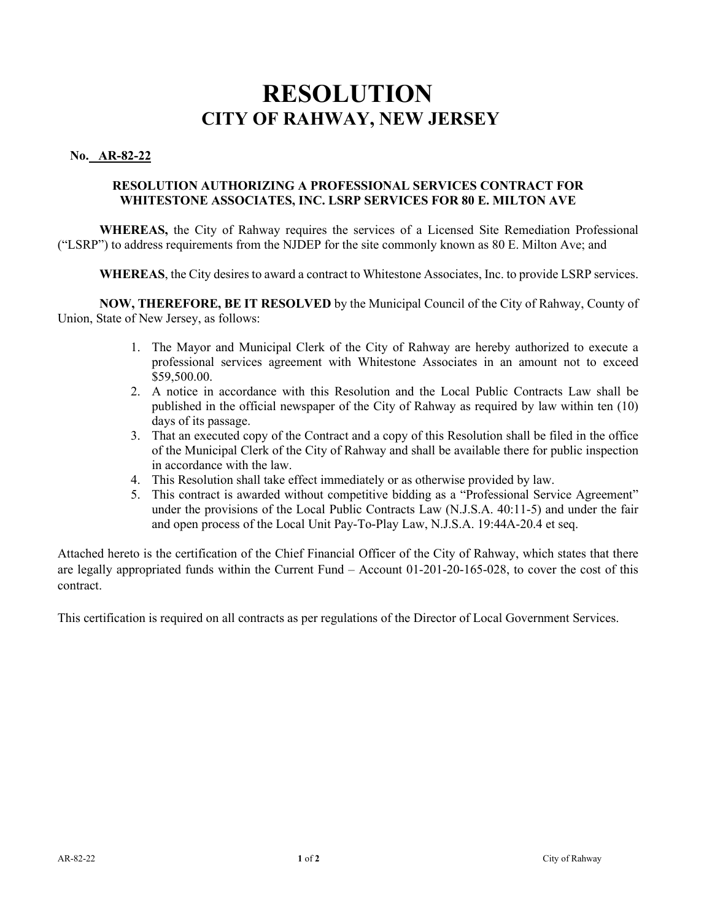### **No. AR-82-22**

### **RESOLUTION AUTHORIZING A PROFESSIONAL SERVICES CONTRACT FOR WHITESTONE ASSOCIATES, INC. LSRP SERVICES FOR 80 E. MILTON AVE**

**WHEREAS,** the City of Rahway requires the services of a Licensed Site Remediation Professional ("LSRP") to address requirements from the NJDEP for the site commonly known as 80 E. Milton Ave; and

**WHEREAS**, the City desires to award a contract to Whitestone Associates, Inc. to provide LSRP services.

**NOW, THEREFORE, BE IT RESOLVED** by the Municipal Council of the City of Rahway, County of Union, State of New Jersey, as follows:

- 1. The Mayor and Municipal Clerk of the City of Rahway are hereby authorized to execute a professional services agreement with Whitestone Associates in an amount not to exceed \$59,500.00.
- 2. A notice in accordance with this Resolution and the Local Public Contracts Law shall be published in the official newspaper of the City of Rahway as required by law within ten (10) days of its passage.
- 3. That an executed copy of the Contract and a copy of this Resolution shall be filed in the office of the Municipal Clerk of the City of Rahway and shall be available there for public inspection in accordance with the law.
- 4. This Resolution shall take effect immediately or as otherwise provided by law.
- 5. This contract is awarded without competitive bidding as a "Professional Service Agreement" under the provisions of the Local Public Contracts Law (N.J.S.A. 40:11-5) and under the fair and open process of the Local Unit Pay-To-Play Law, N.J.S.A. 19:44A-20.4 et seq.

Attached hereto is the certification of the Chief Financial Officer of the City of Rahway, which states that there are legally appropriated funds within the Current Fund – Account 01-201-20-165-028, to cover the cost of this contract.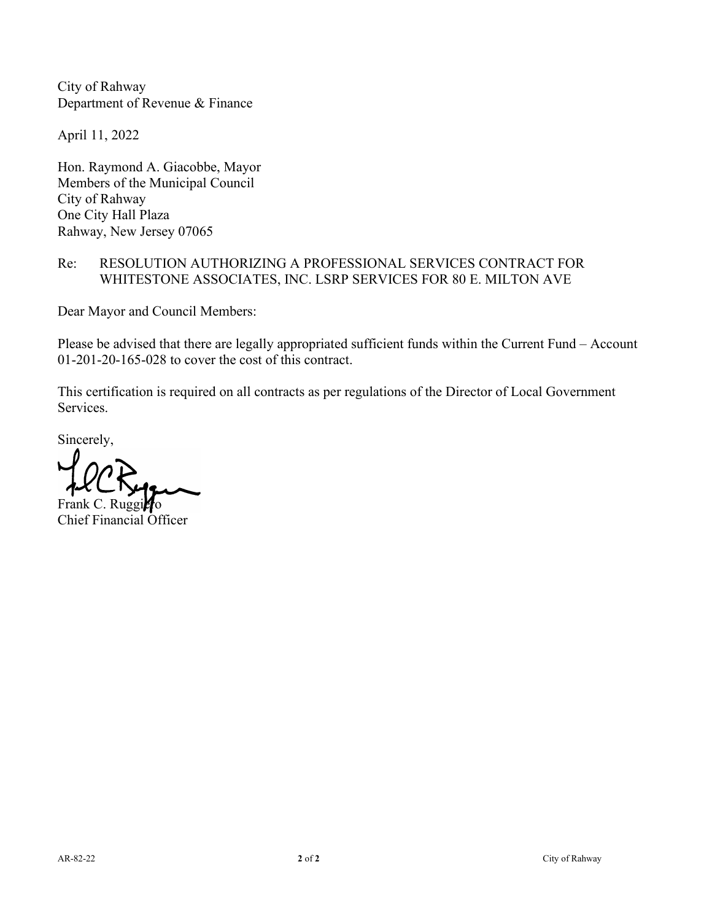April 11, 2022

Hon. Raymond A. Giacobbe, Mayor Members of the Municipal Council City of Rahway One City Hall Plaza Rahway, New Jersey 07065

### Re: RESOLUTION AUTHORIZING A PROFESSIONAL SERVICES CONTRACT FOR WHITESTONE ASSOCIATES, INC. LSRP SERVICES FOR 80 E. MILTON AVE

Dear Mayor and Council Members:

Please be advised that there are legally appropriated sufficient funds within the Current Fund – Account 01-201-20-165-028 to cover the cost of this contract.

This certification is required on all contracts as per regulations of the Director of Local Government Services.

Sincerely,

Frank C. Ruggiero Chief Financial Officer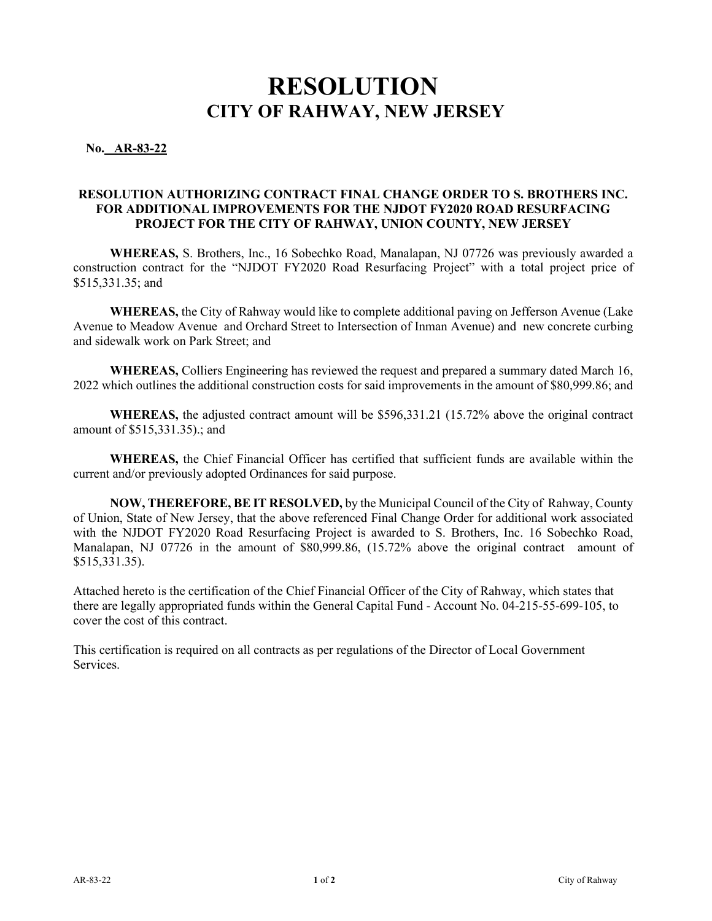**No. AR-83-22** 

### **RESOLUTION AUTHORIZING CONTRACT FINAL CHANGE ORDER TO S. BROTHERS INC. FOR ADDITIONAL IMPROVEMENTS FOR THE NJDOT FY2020 ROAD RESURFACING PROJECT FOR THE CITY OF RAHWAY, UNION COUNTY, NEW JERSEY**

**WHEREAS,** S. Brothers, Inc., 16 Sobechko Road, Manalapan, NJ 07726 was previously awarded a construction contract for the "NJDOT FY2020 Road Resurfacing Project" with a total project price of \$515,331.35; and

**WHEREAS,** the City of Rahway would like to complete additional paving on Jefferson Avenue (Lake Avenue to Meadow Avenue and Orchard Street to Intersection of Inman Avenue) and new concrete curbing and sidewalk work on Park Street; and

**WHEREAS,** Colliers Engineering has reviewed the request and prepared a summary dated March 16, 2022 which outlines the additional construction costs for said improvements in the amount of \$80,999.86; and

**WHEREAS,** the adjusted contract amount will be \$596,331.21 (15.72% above the original contract amount of \$515,331.35).; and

**WHEREAS,** the Chief Financial Officer has certified that sufficient funds are available within the current and/or previously adopted Ordinances for said purpose.

**NOW, THEREFORE, BE IT RESOLVED,** by the Municipal Council of the City of Rahway, County of Union, State of New Jersey, that the above referenced Final Change Order for additional work associated with the NJDOT FY2020 Road Resurfacing Project is awarded to S. Brothers, Inc. 16 Sobechko Road, Manalapan, NJ 07726 in the amount of \$80,999.86, (15.72% above the original contract amount of \$515,331.35).

Attached hereto is the certification of the Chief Financial Officer of the City of Rahway, which states that there are legally appropriated funds within the General Capital Fund - Account No. 04-215-55-699-105, to cover the cost of this contract.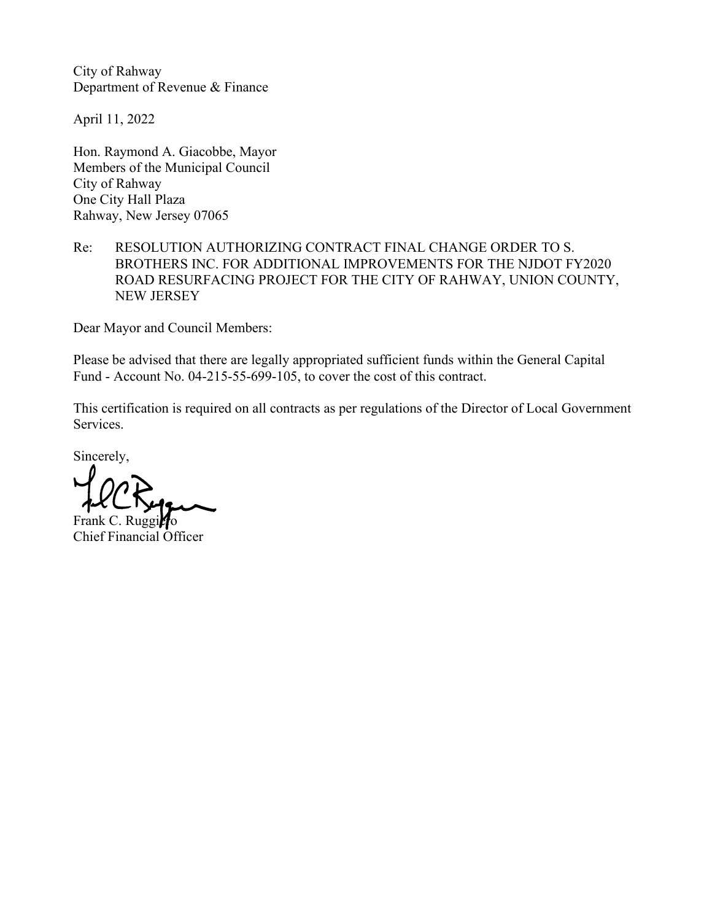April 11, 2022

Hon. Raymond A. Giacobbe, Mayor Members of the Municipal Council City of Rahway One City Hall Plaza Rahway, New Jersey 07065

### Re: RESOLUTION AUTHORIZING CONTRACT FINAL CHANGE ORDER TO S. BROTHERS INC. FOR ADDITIONAL IMPROVEMENTS FOR THE NJDOT FY2020 ROAD RESURFACING PROJECT FOR THE CITY OF RAHWAY, UNION COUNTY, NEW JERSEY

Dear Mayor and Council Members:

Please be advised that there are legally appropriated sufficient funds within the General Capital Fund - Account No. 04-215-55-699-105, to cover the cost of this contract.

This certification is required on all contracts as per regulations of the Director of Local Government Services.

Sincerely,

Fra

Chief Financial Officer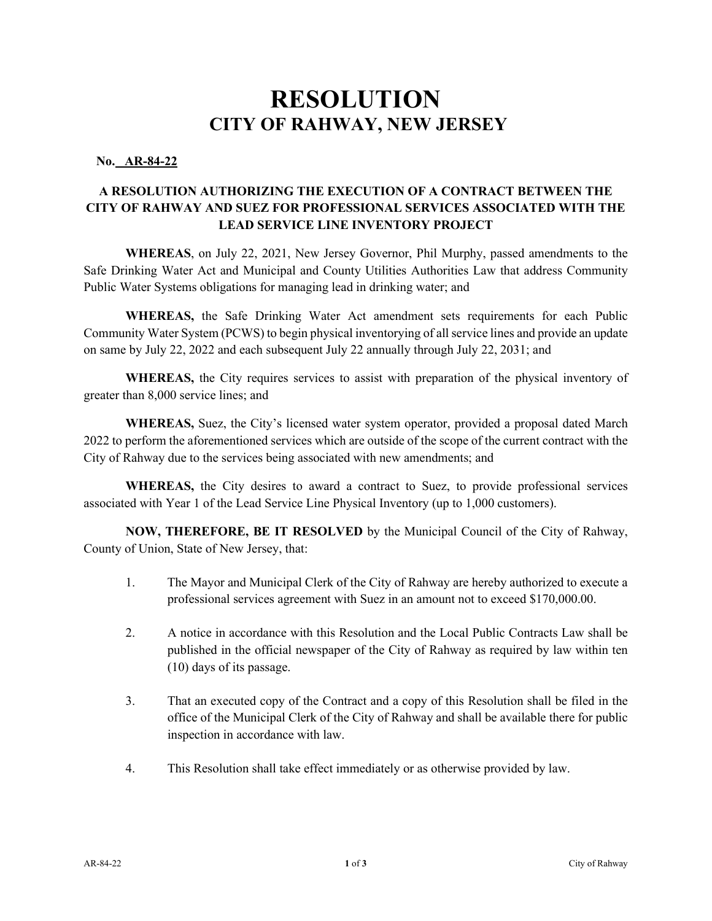### **No. AR-84-22**

### **A RESOLUTION AUTHORIZING THE EXECUTION OF A CONTRACT BETWEEN THE CITY OF RAHWAY AND SUEZ FOR PROFESSIONAL SERVICES ASSOCIATED WITH THE LEAD SERVICE LINE INVENTORY PROJECT**

**WHEREAS**, on July 22, 2021, New Jersey Governor, Phil Murphy, passed amendments to the Safe Drinking Water Act and Municipal and County Utilities Authorities Law that address Community Public Water Systems obligations for managing lead in drinking water; and

**WHEREAS,** the Safe Drinking Water Act amendment sets requirements for each Public Community Water System (PCWS) to begin physical inventorying of all service lines and provide an update on same by July 22, 2022 and each subsequent July 22 annually through July 22, 2031; and

**WHEREAS,** the City requires services to assist with preparation of the physical inventory of greater than 8,000 service lines; and

**WHEREAS,** Suez, the City's licensed water system operator, provided a proposal dated March 2022 to perform the aforementioned services which are outside of the scope of the current contract with the City of Rahway due to the services being associated with new amendments; and

**WHEREAS,** the City desires to award a contract to Suez, to provide professional services associated with Year 1 of the Lead Service Line Physical Inventory (up to 1,000 customers).

**NOW, THEREFORE, BE IT RESOLVED** by the Municipal Council of the City of Rahway, County of Union, State of New Jersey, that:

- 1. The Mayor and Municipal Clerk of the City of Rahway are hereby authorized to execute a professional services agreement with Suez in an amount not to exceed \$170,000.00.
- 2. A notice in accordance with this Resolution and the Local Public Contracts Law shall be published in the official newspaper of the City of Rahway as required by law within ten (10) days of its passage.
- 3. That an executed copy of the Contract and a copy of this Resolution shall be filed in the office of the Municipal Clerk of the City of Rahway and shall be available there for public inspection in accordance with law.
- 4. This Resolution shall take effect immediately or as otherwise provided by law.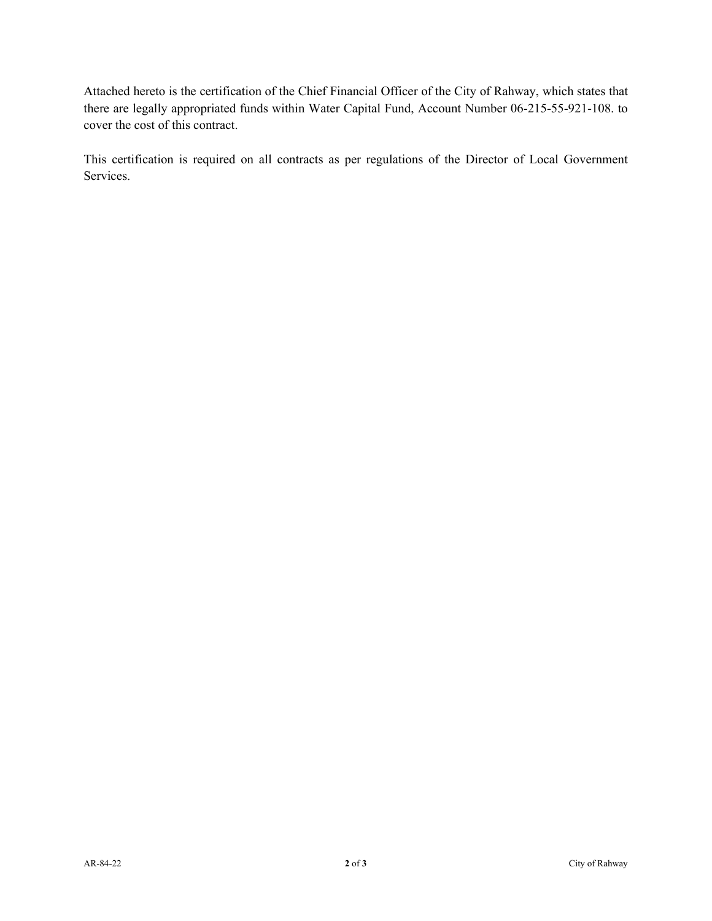Attached hereto is the certification of the Chief Financial Officer of the City of Rahway, which states that there are legally appropriated funds within Water Capital Fund, Account Number 06-215-55-921-108. to cover the cost of this contract.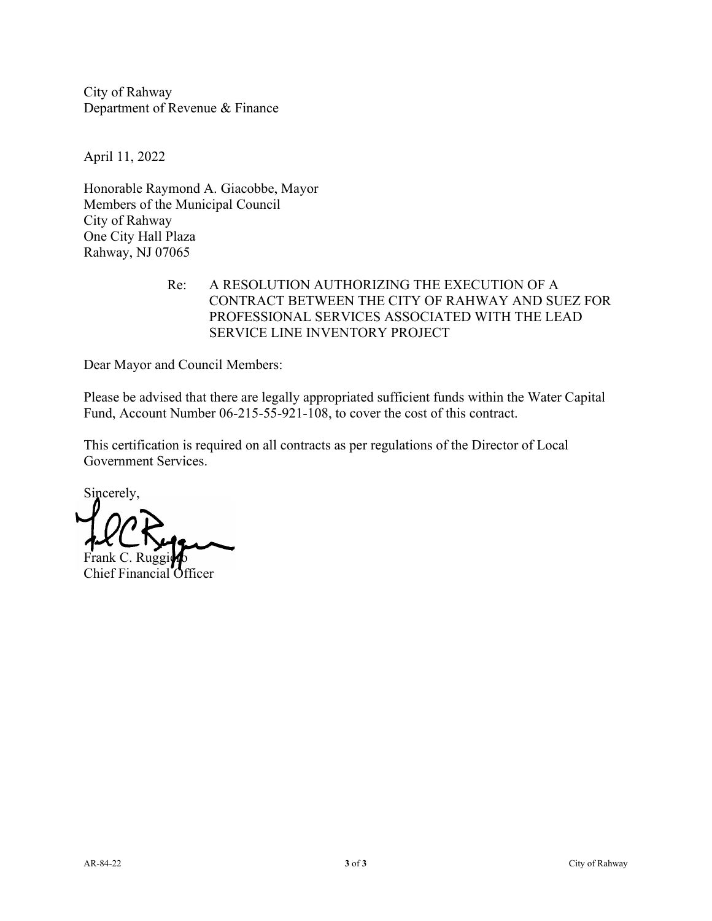April 11, 2022

Honorable Raymond A. Giacobbe, Mayor Members of the Municipal Council City of Rahway One City Hall Plaza Rahway, NJ 07065

### Re: A RESOLUTION AUTHORIZING THE EXECUTION OF A CONTRACT BETWEEN THE CITY OF RAHWAY AND SUEZ FOR PROFESSIONAL SERVICES ASSOCIATED WITH THE LEAD SERVICE LINE INVENTORY PROJECT

Dear Mayor and Council Members:

Please be advised that there are legally appropriated sufficient funds within the Water Capital Fund, Account Number 06-215-55-921-108, to cover the cost of this contract.

Sincerely, Frank C. Ruggino

Chief Financial Officer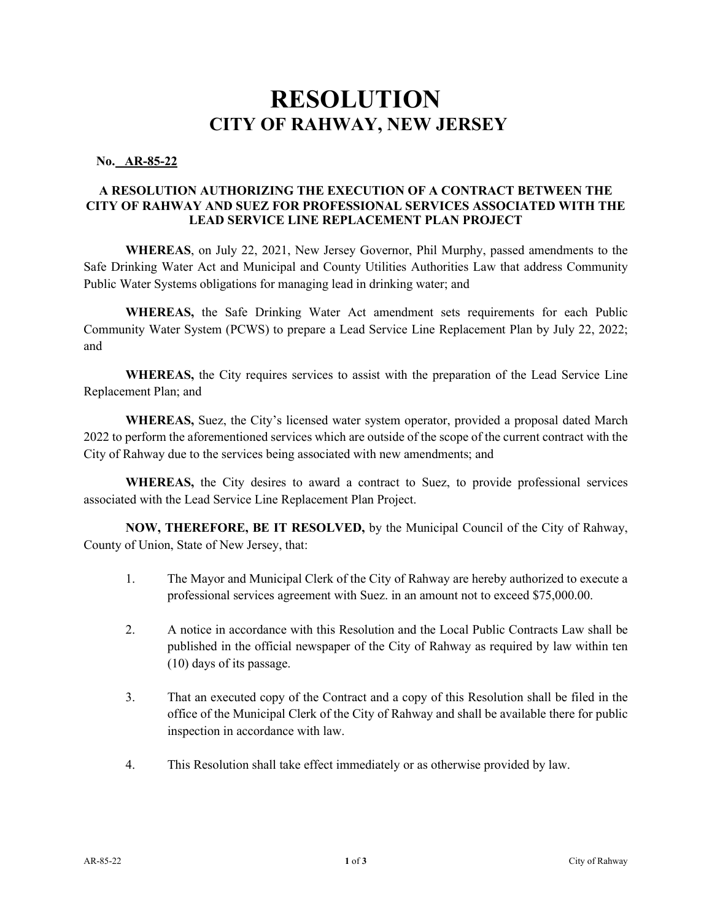### **No. AR-85-22**

### **A RESOLUTION AUTHORIZING THE EXECUTION OF A CONTRACT BETWEEN THE CITY OF RAHWAY AND SUEZ FOR PROFESSIONAL SERVICES ASSOCIATED WITH THE LEAD SERVICE LINE REPLACEMENT PLAN PROJECT**

**WHEREAS**, on July 22, 2021, New Jersey Governor, Phil Murphy, passed amendments to the Safe Drinking Water Act and Municipal and County Utilities Authorities Law that address Community Public Water Systems obligations for managing lead in drinking water; and

**WHEREAS,** the Safe Drinking Water Act amendment sets requirements for each Public Community Water System (PCWS) to prepare a Lead Service Line Replacement Plan by July 22, 2022; and

**WHEREAS,** the City requires services to assist with the preparation of the Lead Service Line Replacement Plan; and

**WHEREAS,** Suez, the City's licensed water system operator, provided a proposal dated March 2022 to perform the aforementioned services which are outside of the scope of the current contract with the City of Rahway due to the services being associated with new amendments; and

**WHEREAS,** the City desires to award a contract to Suez, to provide professional services associated with the Lead Service Line Replacement Plan Project.

**NOW, THEREFORE, BE IT RESOLVED,** by the Municipal Council of the City of Rahway, County of Union, State of New Jersey, that:

- 1. The Mayor and Municipal Clerk of the City of Rahway are hereby authorized to execute a professional services agreement with Suez. in an amount not to exceed \$75,000.00.
- 2. A notice in accordance with this Resolution and the Local Public Contracts Law shall be published in the official newspaper of the City of Rahway as required by law within ten (10) days of its passage.
- 3. That an executed copy of the Contract and a copy of this Resolution shall be filed in the office of the Municipal Clerk of the City of Rahway and shall be available there for public inspection in accordance with law.
- 4. This Resolution shall take effect immediately or as otherwise provided by law.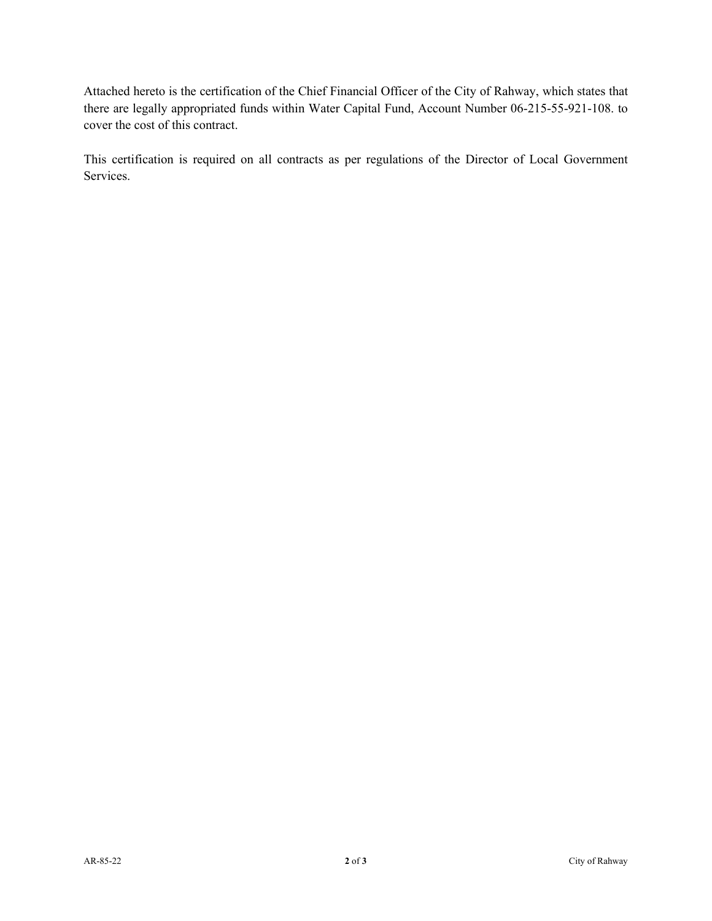Attached hereto is the certification of the Chief Financial Officer of the City of Rahway, which states that there are legally appropriated funds within Water Capital Fund, Account Number 06-215-55-921-108. to cover the cost of this contract.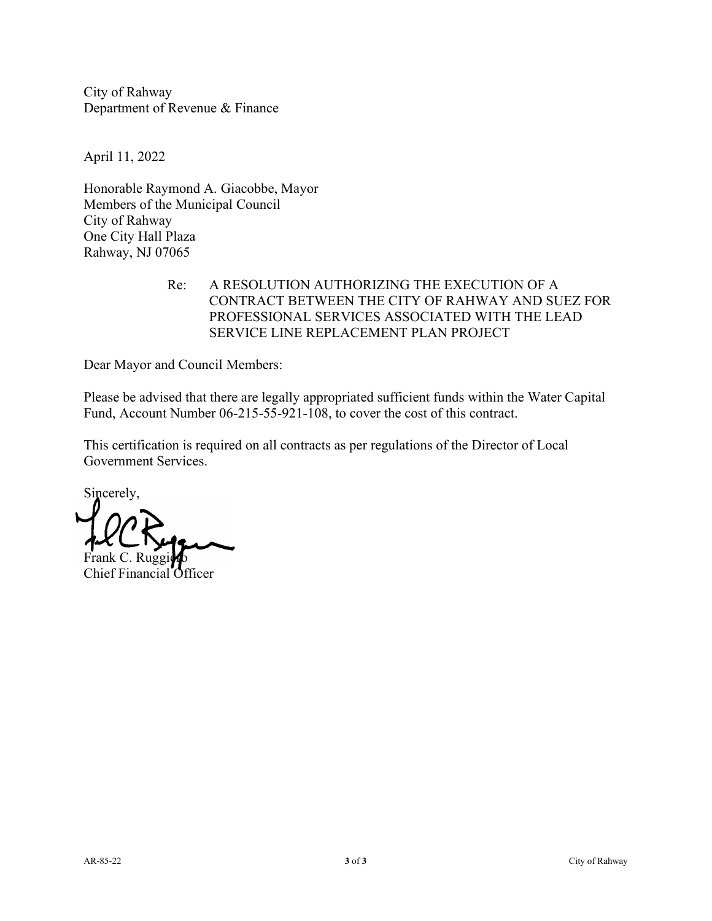April 11, 2022

Honorable Raymond A. Giacobbe, Mayor Members of the Municipal Council City of Rahway One City Hall Plaza Rahway, NJ 07065

### Re: A RESOLUTION AUTHORIZING THE EXECUTION OF A CONTRACT BETWEEN THE CITY OF RAHWAY AND SUEZ FOR PROFESSIONAL SERVICES ASSOCIATED WITH THE LEAD SERVICE LINE REPLACEMENT PLAN PROJECT

Dear Mayor and Council Members:

Please be advised that there are legally appropriated sufficient funds within the Water Capital Fund, Account Number 06-215-55-921-108, to cover the cost of this contract.

Sincerely, Frank C. Ruggino

Chief Financial Officer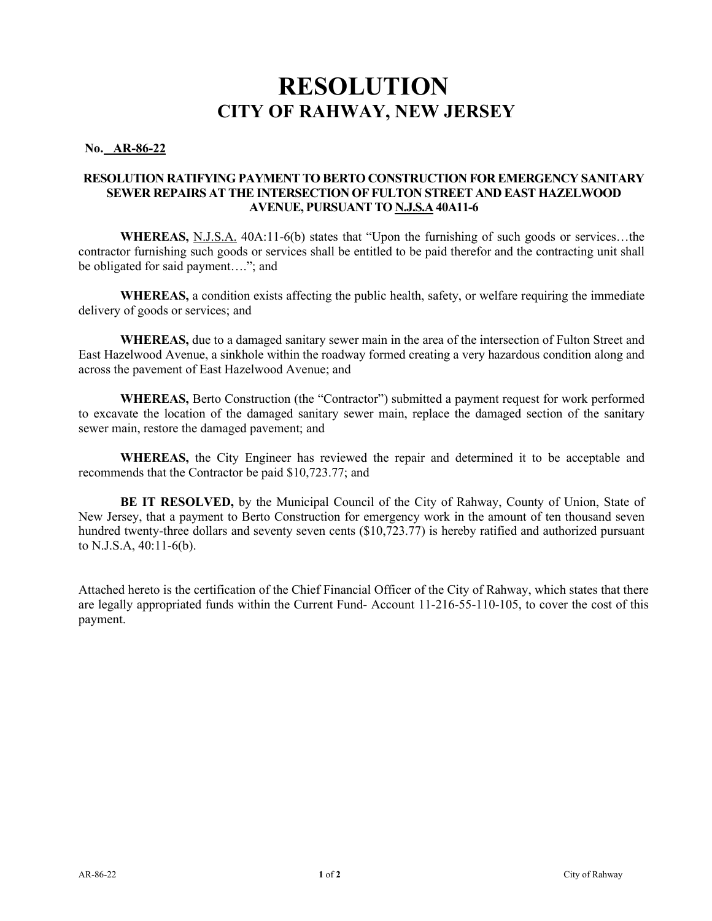### **No. AR-86-22**

### **RESOLUTION RATIFYING PAYMENT TO BERTO CONSTRUCTION FOR EMERGENCY SANITARY SEWER REPAIRS AT THE INTERSECTION OF FULTON STREET AND EAST HAZELWOOD AVENUE, PURSUANT TO N.J.S.A 40A11-6**

**WHEREAS,** N.J.S.A. 40A:11-6(b) states that "Upon the furnishing of such goods or services…the contractor furnishing such goods or services shall be entitled to be paid therefor and the contracting unit shall be obligated for said payment…."; and

**WHEREAS,** a condition exists affecting the public health, safety, or welfare requiring the immediate delivery of goods or services; and

**WHEREAS,** due to a damaged sanitary sewer main in the area of the intersection of Fulton Street and East Hazelwood Avenue, a sinkhole within the roadway formed creating a very hazardous condition along and across the pavement of East Hazelwood Avenue; and

**WHEREAS,** Berto Construction (the "Contractor") submitted a payment request for work performed to excavate the location of the damaged sanitary sewer main, replace the damaged section of the sanitary sewer main, restore the damaged pavement; and

**WHEREAS,** the City Engineer has reviewed the repair and determined it to be acceptable and recommends that the Contractor be paid \$10,723.77; and

**BE IT RESOLVED,** by the Municipal Council of the City of Rahway, County of Union, State of New Jersey, that a payment to Berto Construction for emergency work in the amount of ten thousand seven hundred twenty-three dollars and seventy seven cents (\$10,723.77) is hereby ratified and authorized pursuant to N.J.S.A, 40:11-6(b).

Attached hereto is the certification of the Chief Financial Officer of the City of Rahway, which states that there are legally appropriated funds within the Current Fund- Account 11-216-55-110-105, to cover the cost of this payment.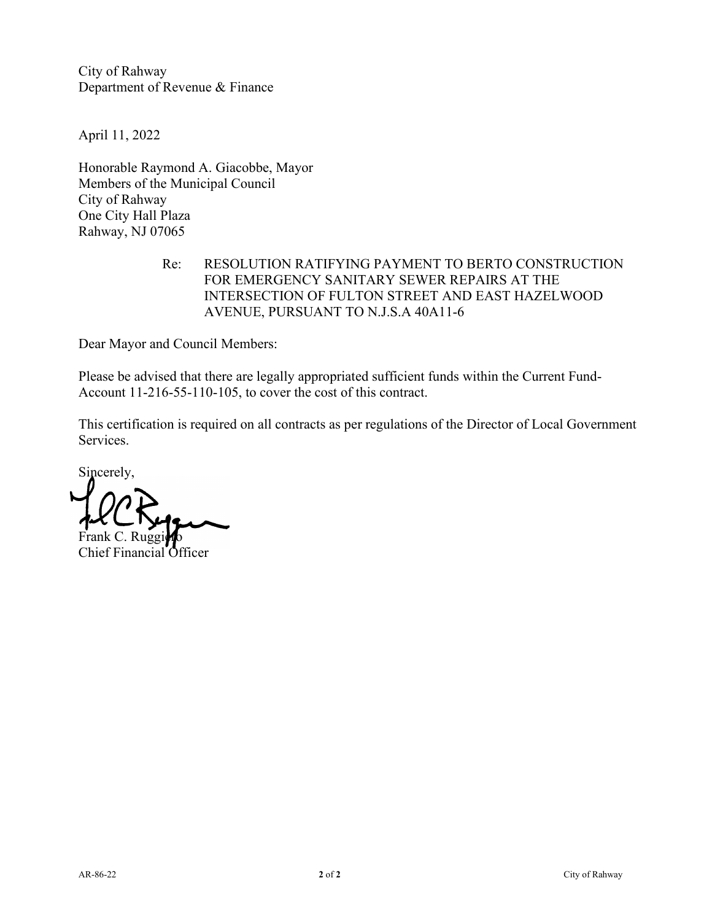April 11, 2022

Honorable Raymond A. Giacobbe, Mayor Members of the Municipal Council City of Rahway One City Hall Plaza Rahway, NJ 07065

### Re: RESOLUTION RATIFYING PAYMENT TO BERTO CONSTRUCTION FOR EMERGENCY SANITARY SEWER REPAIRS AT THE INTERSECTION OF FULTON STREET AND EAST HAZELWOOD AVENUE, PURSUANT TO N.J.S.A 40A11-6

Dear Mayor and Council Members:

Please be advised that there are legally appropriated sufficient funds within the Current Fund-Account 11-216-55-110-105, to cover the cost of this contract.

Sincerely, Frank C. Ruggi

Chief Financial Officer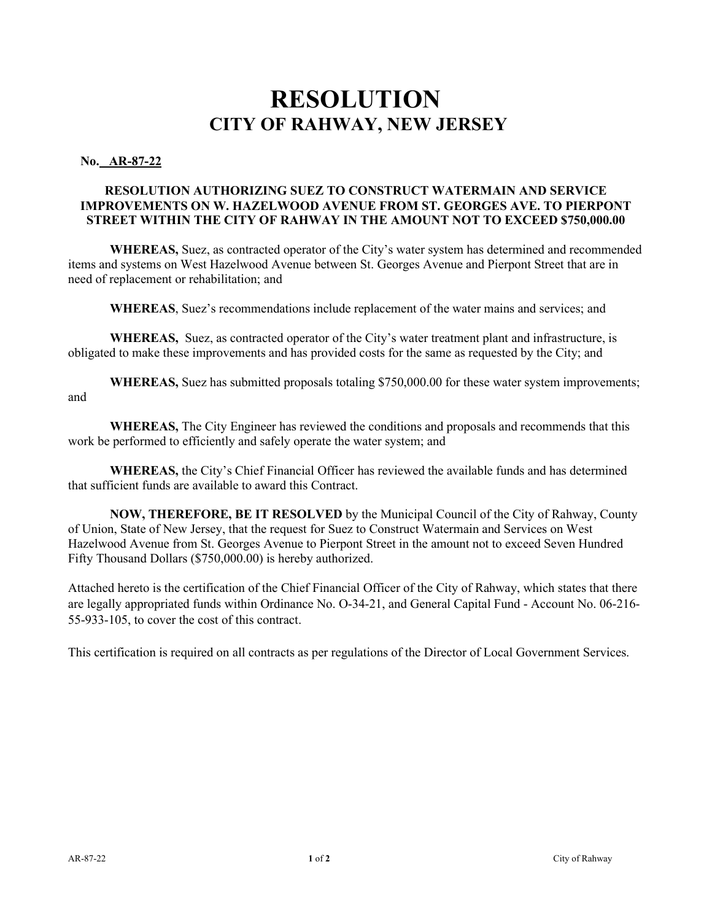### **No. AR-87-22**

### **RESOLUTION AUTHORIZING SUEZ TO CONSTRUCT WATERMAIN AND SERVICE IMPROVEMENTS ON W. HAZELWOOD AVENUE FROM ST. GEORGES AVE. TO PIERPONT STREET WITHIN THE CITY OF RAHWAY IN THE AMOUNT NOT TO EXCEED \$750,000.00**

**WHEREAS,** Suez, as contracted operator of the City's water system has determined and recommended items and systems on West Hazelwood Avenue between St. Georges Avenue and Pierpont Street that are in need of replacement or rehabilitation; and

**WHEREAS**, Suez's recommendations include replacement of the water mains and services; and

**WHEREAS,** Suez, as contracted operator of the City's water treatment plant and infrastructure, is obligated to make these improvements and has provided costs for the same as requested by the City; and

**WHEREAS,** Suez has submitted proposals totaling \$750,000.00 for these water system improvements; and

**WHEREAS,** The City Engineer has reviewed the conditions and proposals and recommends that this work be performed to efficiently and safely operate the water system; and

**WHEREAS,** the City's Chief Financial Officer has reviewed the available funds and has determined that sufficient funds are available to award this Contract.

**NOW, THEREFORE, BE IT RESOLVED** by the Municipal Council of the City of Rahway, County of Union, State of New Jersey, that the request for Suez to Construct Watermain and Services on West Hazelwood Avenue from St. Georges Avenue to Pierpont Street in the amount not to exceed Seven Hundred Fifty Thousand Dollars (\$750,000.00) is hereby authorized.

Attached hereto is the certification of the Chief Financial Officer of the City of Rahway, which states that there are legally appropriated funds within Ordinance No. O-34-21, and General Capital Fund - Account No. 06-216- 55-933-105, to cover the cost of this contract.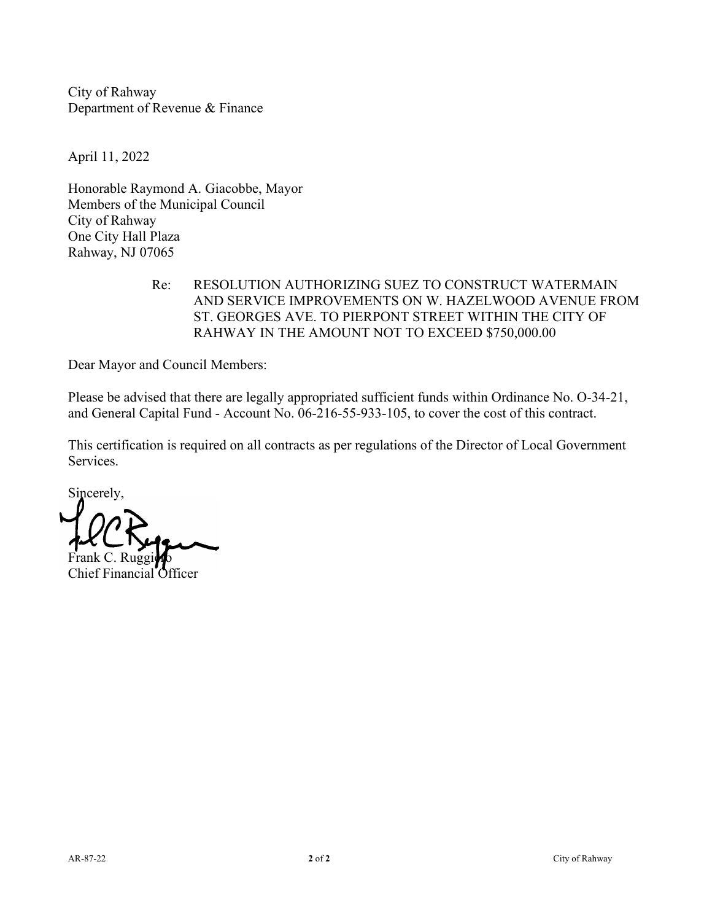April 11, 2022

Honorable Raymond A. Giacobbe, Mayor Members of the Municipal Council City of Rahway One City Hall Plaza Rahway, NJ 07065

> Re: RESOLUTION AUTHORIZING SUEZ TO CONSTRUCT WATERMAIN AND SERVICE IMPROVEMENTS ON W. HAZELWOOD AVENUE FROM ST. GEORGES AVE. TO PIERPONT STREET WITHIN THE CITY OF RAHWAY IN THE AMOUNT NOT TO EXCEED \$750,000.00

Dear Mayor and Council Members:

Please be advised that there are legally appropriated sufficient funds within Ordinance No. O-34-21, and General Capital Fund - Account No. 06-216-55-933-105, to cover the cost of this contract.

Sincerely, Frank C. Ruggino

Chief Financial Officer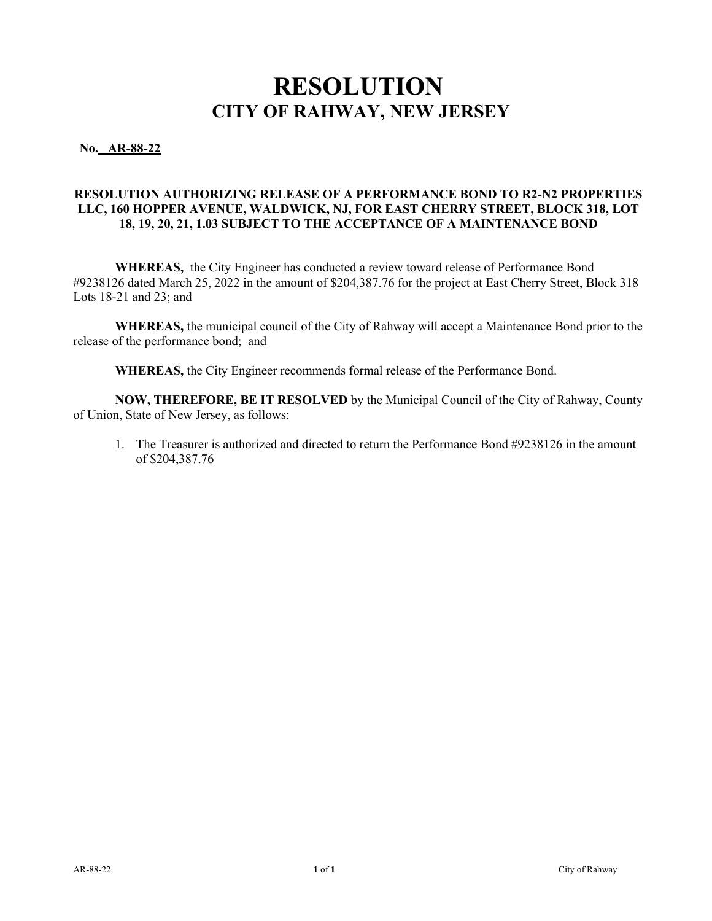**No. AR-88-22** 

#### **RESOLUTION AUTHORIZING RELEASE OF A PERFORMANCE BOND TO R2-N2 PROPERTIES LLC, 160 HOPPER AVENUE, WALDWICK, NJ, FOR EAST CHERRY STREET, BLOCK 318, LOT 18, 19, 20, 21, 1.03 SUBJECT TO THE ACCEPTANCE OF A MAINTENANCE BOND**

**WHEREAS,** the City Engineer has conducted a review toward release of Performance Bond #9238126 dated March 25, 2022 in the amount of \$204,387.76 for the project at East Cherry Street, Block 318 Lots 18-21 and 23; and

**WHEREAS,** the municipal council of the City of Rahway will accept a Maintenance Bond prior to the release of the performance bond; and

**WHEREAS,** the City Engineer recommends formal release of the Performance Bond.

**NOW, THEREFORE, BE IT RESOLVED** by the Municipal Council of the City of Rahway, County of Union, State of New Jersey, as follows:

1. The Treasurer is authorized and directed to return the Performance Bond #9238126 in the amount of \$204,387.76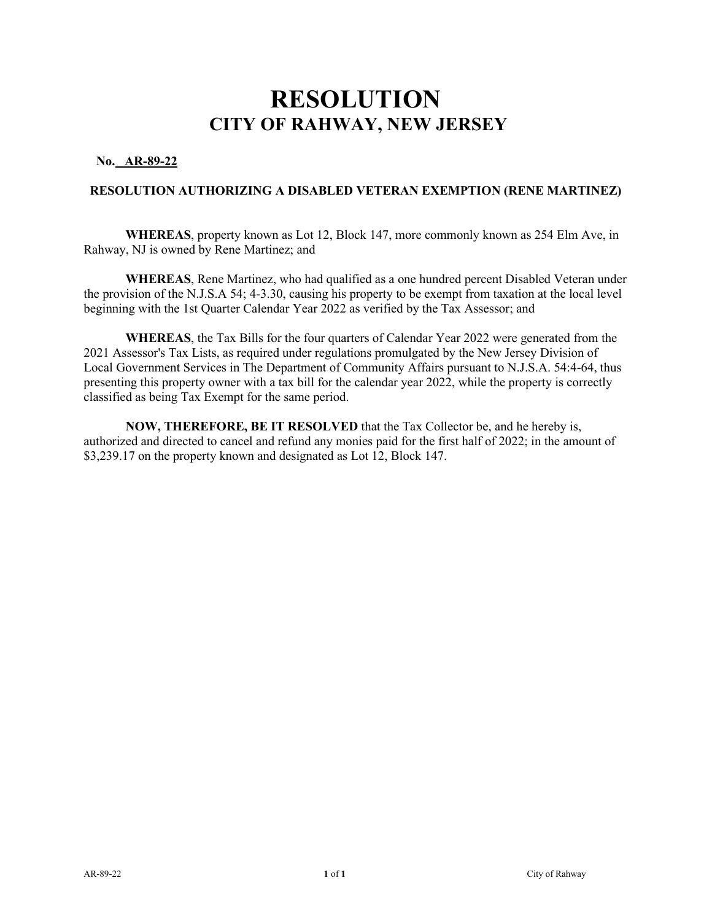### **No. AR-89-22**

#### **RESOLUTION AUTHORIZING A DISABLED VETERAN EXEMPTION (RENE MARTINEZ)**

**WHEREAS**, property known as Lot 12, Block 147, more commonly known as 254 Elm Ave, in Rahway, NJ is owned by Rene Martinez; and

 **WHEREAS**, Rene Martinez, who had qualified as a one hundred percent Disabled Veteran under the provision of the N.J.S.A 54; 4-3.30, causing his property to be exempt from taxation at the local level beginning with the 1st Quarter Calendar Year 2022 as verified by the Tax Assessor; and

**WHEREAS**, the Tax Bills for the four quarters of Calendar Year 2022 were generated from the 2021 Assessor's Tax Lists, as required under regulations promulgated by the New Jersey Division of Local Government Services in The Department of Community Affairs pursuant to N.J.S.A. 54:4-64, thus presenting this property owner with a tax bill for the calendar year 2022, while the property is correctly classified as being Tax Exempt for the same period.

 **NOW, THEREFORE, BE IT RESOLVED** that the Tax Collector be, and he hereby is, authorized and directed to cancel and refund any monies paid for the first half of 2022; in the amount of \$3,239.17 on the property known and designated as Lot 12, Block 147.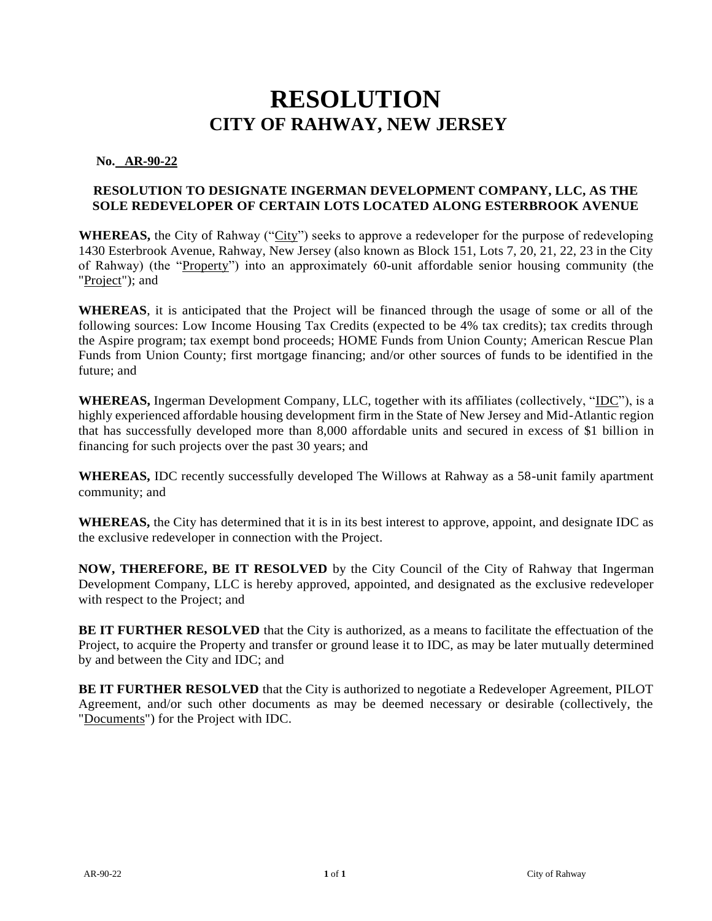**No. AR-90-22** 

### **RESOLUTION TO DESIGNATE INGERMAN DEVELOPMENT COMPANY, LLC, AS THE SOLE REDEVELOPER OF CERTAIN LOTS LOCATED ALONG ESTERBROOK AVENUE**

**WHEREAS,** the City of Rahway ("City") seeks to approve a redeveloper for the purpose of redeveloping 1430 Esterbrook Avenue, Rahway, New Jersey (also known as Block 151, Lots 7, 20, 21, 22, 23 in the City of Rahway) (the "Property") into an approximately 60-unit affordable senior housing community (the "Project"); and

**WHEREAS**, it is anticipated that the Project will be financed through the usage of some or all of the following sources: Low Income Housing Tax Credits (expected to be 4% tax credits); tax credits through the Aspire program; tax exempt bond proceeds; HOME Funds from Union County; American Rescue Plan Funds from Union County; first mortgage financing; and/or other sources of funds to be identified in the future; and

**WHEREAS,** Ingerman Development Company, LLC, together with its affiliates (collectively, "IDC"), is a highly experienced affordable housing development firm in the State of New Jersey and Mid-Atlantic region that has successfully developed more than 8,000 affordable units and secured in excess of \$1 billion in financing for such projects over the past 30 years; and

**WHEREAS,** IDC recently successfully developed The Willows at Rahway as a 58-unit family apartment community; and

**WHEREAS,** the City has determined that it is in its best interest to approve, appoint, and designate IDC as the exclusive redeveloper in connection with the Project.

**NOW, THEREFORE, BE IT RESOLVED** by the City Council of the City of Rahway that Ingerman Development Company, LLC is hereby approved, appointed, and designated as the exclusive redeveloper with respect to the Project; and

**BE IT FURTHER RESOLVED** that the City is authorized, as a means to facilitate the effectuation of the Project, to acquire the Property and transfer or ground lease it to IDC, as may be later mutually determined by and between the City and IDC; and

**BE IT FURTHER RESOLVED** that the City is authorized to negotiate a Redeveloper Agreement, PILOT Agreement, and/or such other documents as may be deemed necessary or desirable (collectively, the "Documents") for the Project with IDC.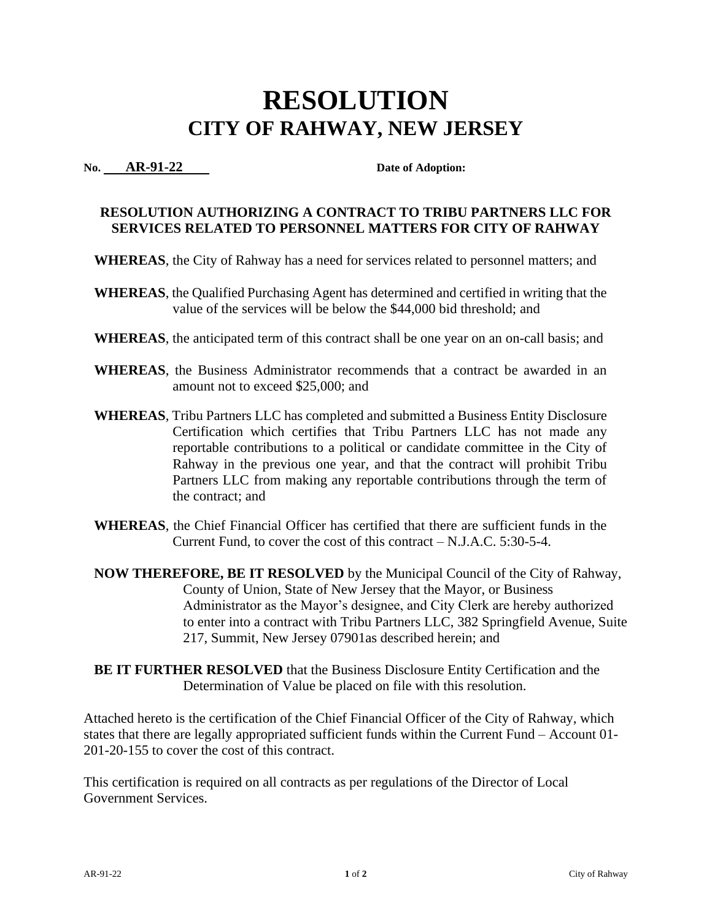**No. AR-91-22 Date of Adoption:** 

### **RESOLUTION AUTHORIZING A CONTRACT TO TRIBU PARTNERS LLC FOR SERVICES RELATED TO PERSONNEL MATTERS FOR CITY OF RAHWAY**

- **WHEREAS**, the City of Rahway has a need for services related to personnel matters; and
- **WHEREAS**, the Qualified Purchasing Agent has determined and certified in writing that the value of the services will be below the \$44,000 bid threshold; and
- **WHEREAS**, the anticipated term of this contract shall be one year on an on-call basis; and
- **WHEREAS**, the Business Administrator recommends that a contract be awarded in an amount not to exceed \$25,000; and
- **WHEREAS**, Tribu Partners LLC has completed and submitted a Business Entity Disclosure Certification which certifies that Tribu Partners LLC has not made any reportable contributions to a political or candidate committee in the City of Rahway in the previous one year, and that the contract will prohibit Tribu Partners LLC from making any reportable contributions through the term of the contract; and
- **WHEREAS**, the Chief Financial Officer has certified that there are sufficient funds in the Current Fund, to cover the cost of this contract – N.J.A.C. 5:30-5-4.
- **NOW THEREFORE, BE IT RESOLVED** by the Municipal Council of the City of Rahway, County of Union, State of New Jersey that the Mayor, or Business Administrator as the Mayor's designee, and City Clerk are hereby authorized to enter into a contract with Tribu Partners LLC, 382 Springfield Avenue, Suite 217, Summit, New Jersey 07901as described herein; and
- **BE IT FURTHER RESOLVED** that the Business Disclosure Entity Certification and the Determination of Value be placed on file with this resolution.

Attached hereto is the certification of the Chief Financial Officer of the City of Rahway, which states that there are legally appropriated sufficient funds within the Current Fund – Account 01- 201-20-155 to cover the cost of this contract.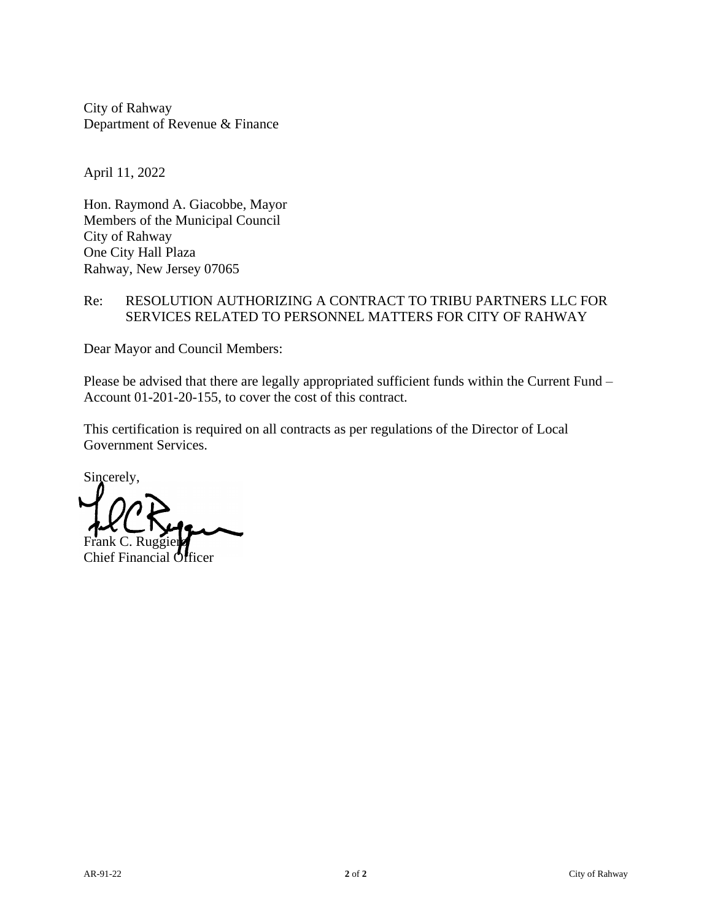April 11, 2022

Hon. Raymond A. Giacobbe, Mayor Members of the Municipal Council City of Rahway One City Hall Plaza Rahway, New Jersey 07065

### Re: RESOLUTION AUTHORIZING A CONTRACT TO TRIBU PARTNERS LLC FOR SERVICES RELATED TO PERSONNEL MATTERS FOR CITY OF RAHWAY

Dear Mayor and Council Members:

Please be advised that there are legally appropriated sufficient funds within the Current Fund – Account 01-201-20-155, to cover the cost of this contract.

Sincerely, Frank C. Ruggier

Chief Financial Officer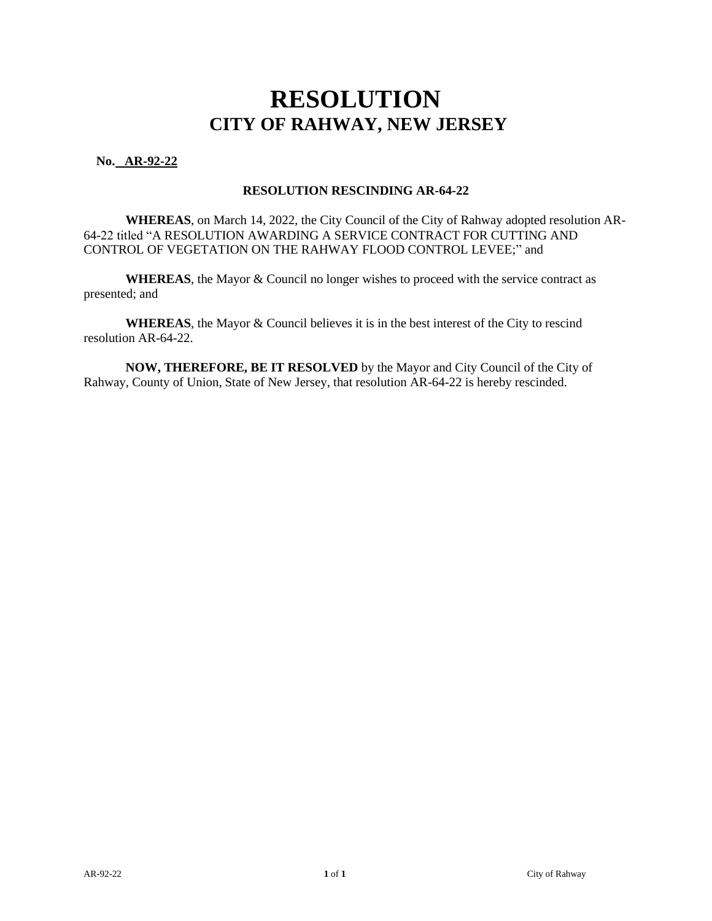### **No. AR-92-22**

#### **RESOLUTION RESCINDING AR-64-22**

**WHEREAS**, on March 14, 2022, the City Council of the City of Rahway adopted resolution AR-64-22 titled "A RESOLUTION AWARDING A SERVICE CONTRACT FOR CUTTING AND CONTROL OF VEGETATION ON THE RAHWAY FLOOD CONTROL LEVEE;" and

 **WHEREAS**, the Mayor & Council no longer wishes to proceed with the service contract as presented; and

**WHEREAS**, the Mayor & Council believes it is in the best interest of the City to rescind resolution AR-64-22.

 **NOW, THEREFORE, BE IT RESOLVED** by the Mayor and City Council of the City of Rahway, County of Union, State of New Jersey, that resolution AR-64-22 is hereby rescinded.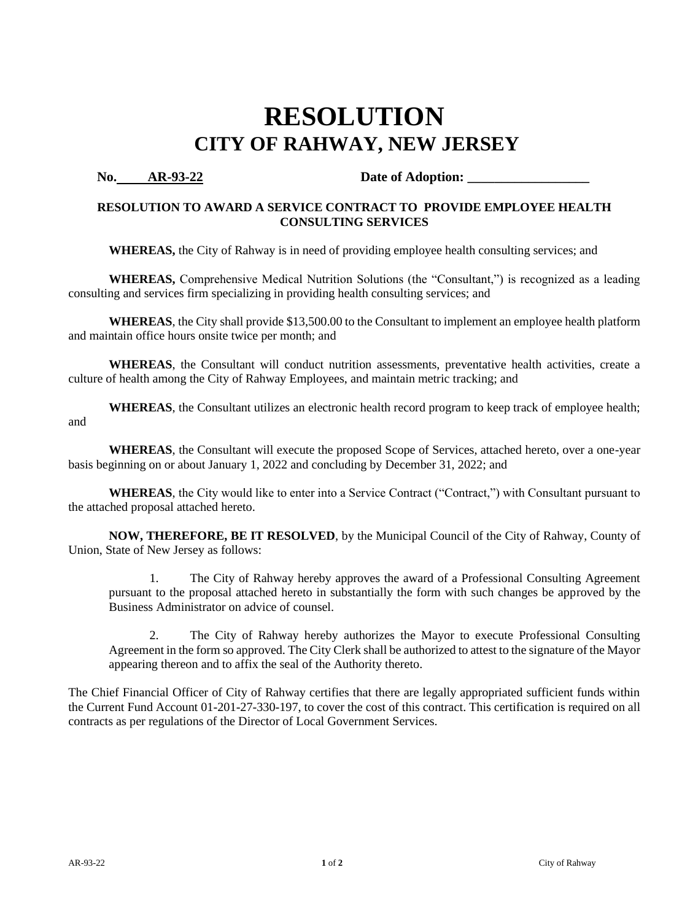**No. AR-93-22 Date of Adoption:** 

### **RESOLUTION TO AWARD A SERVICE CONTRACT TO PROVIDE EMPLOYEE HEALTH CONSULTING SERVICES**

**WHEREAS,** the City of Rahway is in need of providing employee health consulting services; and

**WHEREAS,** Comprehensive Medical Nutrition Solutions (the "Consultant,") is recognized as a leading consulting and services firm specializing in providing health consulting services; and

**WHEREAS**, the City shall provide \$13,500.00 to the Consultant to implement an employee health platform and maintain office hours onsite twice per month; and

**WHEREAS**, the Consultant will conduct nutrition assessments, preventative health activities, create a culture of health among the City of Rahway Employees, and maintain metric tracking; and

**WHEREAS**, the Consultant utilizes an electronic health record program to keep track of employee health; and

**WHEREAS**, the Consultant will execute the proposed Scope of Services, attached hereto, over a one-year basis beginning on or about January 1, 2022 and concluding by December 31, 2022; and

**WHEREAS**, the City would like to enter into a Service Contract ("Contract,") with Consultant pursuant to the attached proposal attached hereto.

**NOW, THEREFORE, BE IT RESOLVED**, by the Municipal Council of the City of Rahway, County of Union, State of New Jersey as follows:

1. The City of Rahway hereby approves the award of a Professional Consulting Agreement pursuant to the proposal attached hereto in substantially the form with such changes be approved by the Business Administrator on advice of counsel.

2. The City of Rahway hereby authorizes the Mayor to execute Professional Consulting Agreement in the form so approved. The City Clerk shall be authorized to attest to the signature of the Mayor appearing thereon and to affix the seal of the Authority thereto.

The Chief Financial Officer of City of Rahway certifies that there are legally appropriated sufficient funds within the Current Fund Account 01-201-27-330-197, to cover the cost of this contract. This certification is required on all contracts as per regulations of the Director of Local Government Services.